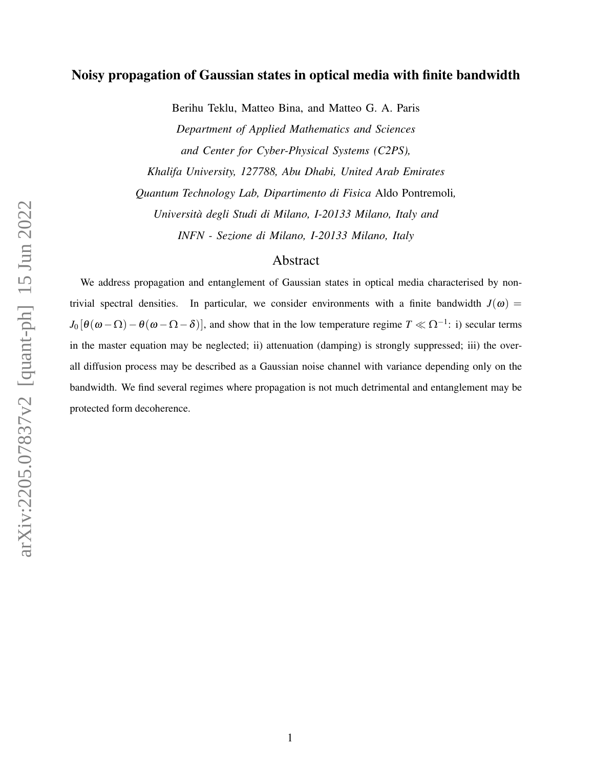# Noisy propagation of Gaussian states in optical media with finite bandwidth

Berihu Teklu, Matteo Bina, and Matteo G. A. Paris *Department of Applied Mathematics and Sciences and Center for Cyber-Physical Systems (C2PS), Khalifa University, 127788, Abu Dhabi, United Arab Emirates Quantum Technology Lab, Dipartimento di Fisica* Aldo Pontremoli*, Università degli Studi di Milano, I-20133 Milano, Italy and INFN - Sezione di Milano, I-20133 Milano, Italy*

# Abstract

We address propagation and entanglement of Gaussian states in optical media characterised by nontrivial spectral densities. In particular, we consider environments with a finite bandwidth  $J(\omega)$  =  $J_0[\theta(\omega-\Omega)-\theta(\omega-\Omega-\delta)]$ , and show that in the low temperature regime  $T \ll \Omega^{-1}$ : i) secular terms in the master equation may be neglected; ii) attenuation (damping) is strongly suppressed; iii) the overall diffusion process may be described as a Gaussian noise channel with variance depending only on the bandwidth. We find several regimes where propagation is not much detrimental and entanglement may be protected form decoherence.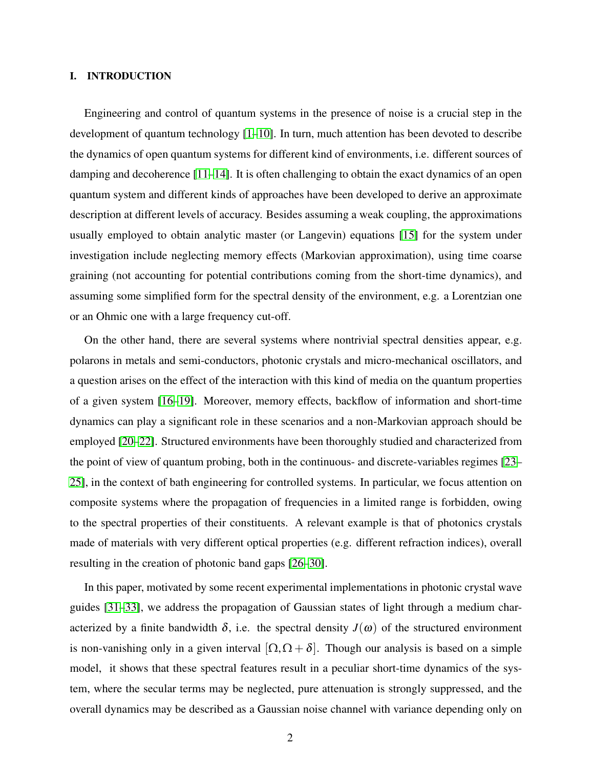## I. INTRODUCTION

Engineering and control of quantum systems in the presence of noise is a crucial step in the development of quantum technology [\[1](#page-10-0)[–10\]](#page-10-1). In turn, much attention has been devoted to describe the dynamics of open quantum systems for different kind of environments, i.e. different sources of damping and decoherence  $[11-14]$  $[11-14]$ . It is often challenging to obtain the exact dynamics of an open quantum system and different kinds of approaches have been developed to derive an approximate description at different levels of accuracy. Besides assuming a weak coupling, the approximations usually employed to obtain analytic master (or Langevin) equations [\[15\]](#page-11-1) for the system under investigation include neglecting memory effects (Markovian approximation), using time coarse graining (not accounting for potential contributions coming from the short-time dynamics), and assuming some simplified form for the spectral density of the environment, e.g. a Lorentzian one or an Ohmic one with a large frequency cut-off.

On the other hand, there are several systems where nontrivial spectral densities appear, e.g. polarons in metals and semi-conductors, photonic crystals and micro-mechanical oscillators, and a question arises on the effect of the interaction with this kind of media on the quantum properties of a given system [\[16](#page-11-2)[–19\]](#page-11-3). Moreover, memory effects, backflow of information and short-time dynamics can play a significant role in these scenarios and a non-Markovian approach should be employed [\[20–](#page-11-4)[22\]](#page-11-5). Structured environments have been thoroughly studied and characterized from the point of view of quantum probing, both in the continuous- and discrete-variables regimes [\[23–](#page-11-6) [25\]](#page-11-7), in the context of bath engineering for controlled systems. In particular, we focus attention on composite systems where the propagation of frequencies in a limited range is forbidden, owing to the spectral properties of their constituents. A relevant example is that of photonics crystals made of materials with very different optical properties (e.g. different refraction indices), overall resulting in the creation of photonic band gaps [\[26–](#page-11-8)[30\]](#page-12-0).

In this paper, motivated by some recent experimental implementations in photonic crystal wave guides [\[31](#page-12-1)[–33\]](#page-12-2), we address the propagation of Gaussian states of light through a medium characterized by a finite bandwidth  $\delta$ , i.e. the spectral density  $J(\omega)$  of the structured environment is non-vanishing only in a given interval  $[\Omega, \Omega + \delta]$ . Though our analysis is based on a simple model, it shows that these spectral features result in a peculiar short-time dynamics of the system, where the secular terms may be neglected, pure attenuation is strongly suppressed, and the overall dynamics may be described as a Gaussian noise channel with variance depending only on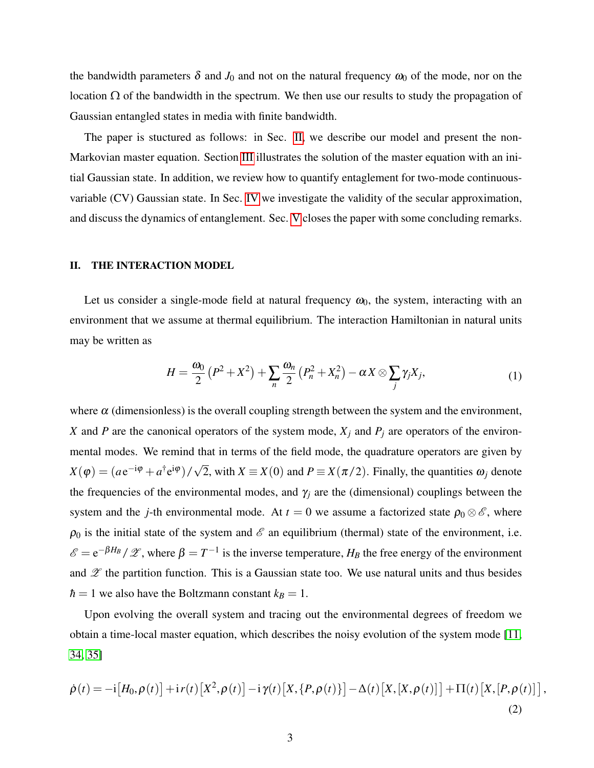the bandwidth parameters  $\delta$  and  $J_0$  and not on the natural frequency  $\omega_0$  of the mode, nor on the location Ω of the bandwidth in the spectrum. We then use our results to study the propagation of Gaussian entangled states in media with finite bandwidth.

The paper is stuctured as follows: in Sec. [II,](#page-2-0) we describe our model and present the non-Markovian master equation. Section [III](#page-4-0) illustrates the solution of the master equation with an initial Gaussian state. In addition, we review how to quantify entaglement for two-mode continuousvariable (CV) Gaussian state. In Sec. [IV](#page-6-0) we investigate the validity of the secular approximation, and discuss the dynamics of entanglement. Sec. [V](#page-9-0) closes the paper with some concluding remarks.

### <span id="page-2-0"></span>II. THE INTERACTION MODEL

Let us consider a single-mode field at natural frequency  $\omega_0$ , the system, interacting with an environment that we assume at thermal equilibrium. The interaction Hamiltonian in natural units may be written as

<span id="page-2-1"></span>
$$
H = \frac{\omega_0}{2} (P^2 + X^2) + \sum_n \frac{\omega_n}{2} (P_n^2 + X_n^2) - \alpha X \otimes \sum_j \gamma_j X_j,
$$
 (1)

where  $\alpha$  (dimensionless) is the overall coupling strength between the system and the environment, *X* and *P* are the canonical operators of the system mode,  $X_j$  and  $P_j$  are operators of the environmental modes. We remind that in terms of the field mode, the quadrature operators are given by  $X(\varphi) = (a e^{-i\varphi} + a^{\dagger} e^{i\varphi})/$ √ 2, with  $X \equiv X(0)$  and  $P \equiv X(\pi/2)$ . Finally, the quantities  $\omega_j$  denote the frequencies of the environmental modes, and  $\gamma_i$  are the (dimensional) couplings between the system and the *j*-th environmental mode. At  $t = 0$  we assume a factorized state  $\rho_0 \otimes \mathcal{E}$ , where  $\rho_0$  is the initial state of the system and  $\mathscr E$  an equilibrium (thermal) state of the environment, i.e.  $\mathscr{E} = e^{-\beta H_B}/\mathscr{Z}$ , where  $\beta = T^{-1}$  is the inverse temperature,  $H_B$  the free energy of the environment and  $\mathscr Z$  the partition function. This is a Gaussian state too. We use natural units and thus besides  $\hbar = 1$  we also have the Boltzmann constant  $k_B = 1$ .

<span id="page-2-2"></span>Upon evolving the overall system and tracing out the environmental degrees of freedom we obtain a time-local master equation, which describes the noisy evolution of the system mode [\[11,](#page-10-2) [34,](#page-12-3) [35\]](#page-12-4)

$$
\dot{\rho}(t) = -i[H_0, \rho(t)] + i r(t) \left[X^2, \rho(t)\right] - i \gamma(t) \left[X, \left\{P, \rho(t)\right\}\right] - \Delta(t) \left[X, \left[X, \rho(t)\right]\right] + \Pi(t) \left[X, \left[P, \rho(t)\right]\right],
$$
\n(2)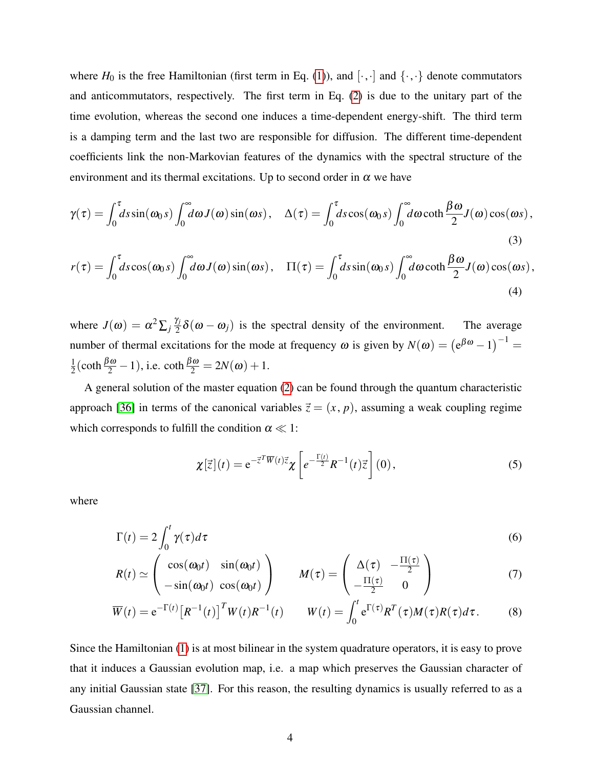where  $H_0$  is the free Hamiltonian (first term in Eq. [\(1\)](#page-2-1)), and  $[\cdot, \cdot]$  and  $\{\cdot, \cdot\}$  denote commutators and anticommutators, respectively. The first term in Eq. [\(2\)](#page-2-2) is due to the unitary part of the time evolution, whereas the second one induces a time-dependent energy-shift. The third term is a damping term and the last two are responsible for diffusion. The different time-dependent coefficients link the non-Markovian features of the dynamics with the spectral structure of the environment and its thermal excitations. Up to second order in  $\alpha$  we have

$$
\gamma(\tau) = \int_0^{\tau} ds \sin(\omega_0 s) \int_0^{\infty} d\omega J(\omega) \sin(\omega s), \quad \Delta(\tau) = \int_0^{\tau} ds \cos(\omega_0 s) \int_0^{\infty} d\omega \coth \frac{\beta \omega}{2} J(\omega) \cos(\omega s), \tag{3}
$$

$$
r(\tau) = \int_0^{\tau} ds \cos(\omega_0 s) \int_0^{\infty} d\omega J(\omega) \sin(\omega s), \quad \Pi(\tau) = \int_0^{\tau} ds \sin(\omega_0 s) \int_0^{\infty} d\omega \coth \frac{\beta \omega}{2} J(\omega) \cos(\omega s), \tag{4}
$$

where  $J(\omega) = \alpha^2 \sum_j \frac{\gamma_j}{2}$  $\frac{\partial f}{\partial x^2}$   $\delta(\omega - \omega_j)$  is the spectral density of the environment. The average number of thermal excitations for the mode at frequency  $\omega$  is given by  $N(\omega) = (e^{\beta \omega} - 1)^{-1}$ 1  $\frac{1}{2}(\coth \frac{\beta \omega}{2} - 1)$ , i.e.  $\coth \frac{\beta \omega}{2} = 2N(\omega) + 1$ .

A general solution of the master equation [\(2\)](#page-2-2) can be found through the quantum characteristic approach [\[36\]](#page-12-5) in terms of the canonical variables  $\vec{z} = (x, p)$ , assuming a weak coupling regime which corresponds to fulfill the condition  $\alpha \ll 1$ :

<span id="page-3-0"></span>
$$
\chi[\vec{z}](t) = e^{-\vec{z}^T \overline{W}(t)\vec{z}} \chi \left[ e^{-\frac{\Gamma(t)}{2}} R^{-1}(t)\vec{z} \right](0), \tag{5}
$$

where

$$
\Gamma(t) = 2 \int_0^t \gamma(\tau) d\tau
$$
\n(6)

$$
R(t) \simeq \begin{pmatrix} \cos(\omega_0 t) & \sin(\omega_0 t) \\ -\sin(\omega_0 t) & \cos(\omega_0 t) \end{pmatrix} \qquad M(\tau) = \begin{pmatrix} \Delta(\tau) & -\frac{\Pi(\tau)}{2} \\ -\frac{\Pi(\tau)}{2} & 0 \end{pmatrix}
$$
(7)

$$
\overline{W}(t) = e^{-\Gamma(t)} \left[ R^{-1}(t) \right]^T W(t) R^{-1}(t) \qquad W(t) = \int_0^t e^{\Gamma(\tau)} R^T(\tau) M(\tau) R(\tau) d\tau. \tag{8}
$$

Since the Hamiltonian [\(1\)](#page-2-1) is at most bilinear in the system quadrature operators, it is easy to prove that it induces a Gaussian evolution map, i.e. a map which preserves the Gaussian character of any initial Gaussian state [\[37\]](#page-12-6). For this reason, the resulting dynamics is usually referred to as a Gaussian channel.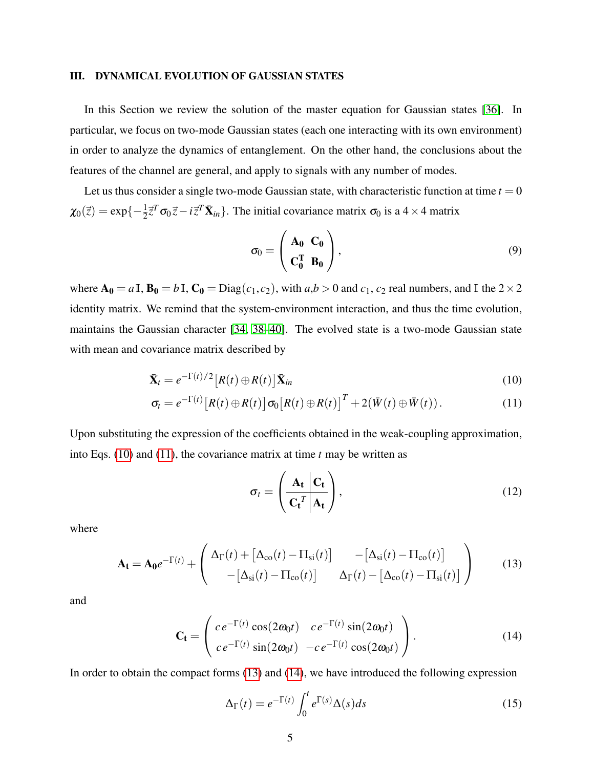## <span id="page-4-0"></span>III. DYNAMICAL EVOLUTION OF GAUSSIAN STATES

In this Section we review the solution of the master equation for Gaussian states [\[36\]](#page-12-5). In particular, we focus on two-mode Gaussian states (each one interacting with its own environment) in order to analyze the dynamics of entanglement. On the other hand, the conclusions about the features of the channel are general, and apply to signals with any number of modes.

Let us thus consider a single two-mode Gaussian state, with characteristic function at time  $t = 0$  $\chi_0(\vec{z}) = \exp\{-\frac{1}{2}\vec{z}^T\sigma_0\vec{z} - i\vec{z}^T\vec{\mathbf{X}}_{in}\}.$  The initial covariance matrix  $\sigma_0$  is a 4 × 4 matrix

<span id="page-4-6"></span>
$$
\sigma_0 = \begin{pmatrix} A_0 & C_0 \\ C_0^T & B_0 \end{pmatrix}, \tag{9}
$$

where  $\mathbf{A_0} = a \mathbb{I}$ ,  $\mathbf{B_0} = b \mathbb{I}$ ,  $\mathbf{C_0} = \text{Diag}(c_1, c_2)$ , with  $a, b > 0$  and  $c_1, c_2$  real numbers, and  $\mathbb{I}$  the  $2 \times 2$ identity matrix. We remind that the system-environment interaction, and thus the time evolution, maintains the Gaussian character [\[34,](#page-12-3) [38](#page-12-7)[–40\]](#page-12-8). The evolved state is a two-mode Gaussian state with mean and covariance matrix described by

$$
\mathbf{\bar{X}}_t = e^{-\Gamma(t)/2} \left[ R(t) \oplus R(t) \right] \mathbf{\bar{X}}_{in}
$$
\n(10)

$$
\sigma_t = e^{-\Gamma(t)} \left[ R(t) \oplus R(t) \right] \sigma_0 \left[ R(t) \oplus R(t) \right]^T + 2(\bar{W}(t) \oplus \bar{W}(t)). \tag{11}
$$

Upon substituting the expression of the coefficients obtained in the weak-coupling approximation, into Eqs. [\(10\)](#page-4-1) and [\(11\)](#page-4-2), the covariance matrix at time *t* may be written as

<span id="page-4-5"></span><span id="page-4-3"></span><span id="page-4-2"></span><span id="page-4-1"></span>
$$
\sigma_t = \left(\frac{\mathbf{A_t} \left| \mathbf{C_t} \right|}{\mathbf{C_t}^T \left| \mathbf{A_t} \right|}\right),\tag{12}
$$

where

$$
\mathbf{A_t} = \mathbf{A_0}e^{-\Gamma(t)} + \begin{pmatrix} \Delta_{\Gamma}(t) + [\Delta_{\rm co}(t) - \Pi_{\rm si}(t)] & -[\Delta_{\rm si}(t) - \Pi_{\rm co}(t)] \\ -[\Delta_{\rm si}(t) - \Pi_{\rm co}(t)] & \Delta_{\Gamma}(t) - [\Delta_{\rm co}(t) - \Pi_{\rm si}(t)] \end{pmatrix}
$$
(13)

and

$$
\mathbf{C}_{t} = \begin{pmatrix} c e^{-\Gamma(t)} \cos(2\omega_0 t) & c e^{-\Gamma(t)} \sin(2\omega_0 t) \\ c e^{-\Gamma(t)} \sin(2\omega_0 t) & -c e^{-\Gamma(t)} \cos(2\omega_0 t) \end{pmatrix}.
$$
 (14)

In order to obtain the compact forms [\(13\)](#page-4-3) and [\(14\)](#page-4-4), we have introduced the following expression

<span id="page-4-4"></span>
$$
\Delta_{\Gamma}(t) = e^{-\Gamma(t)} \int_0^t e^{\Gamma(s)} \Delta(s) ds \tag{15}
$$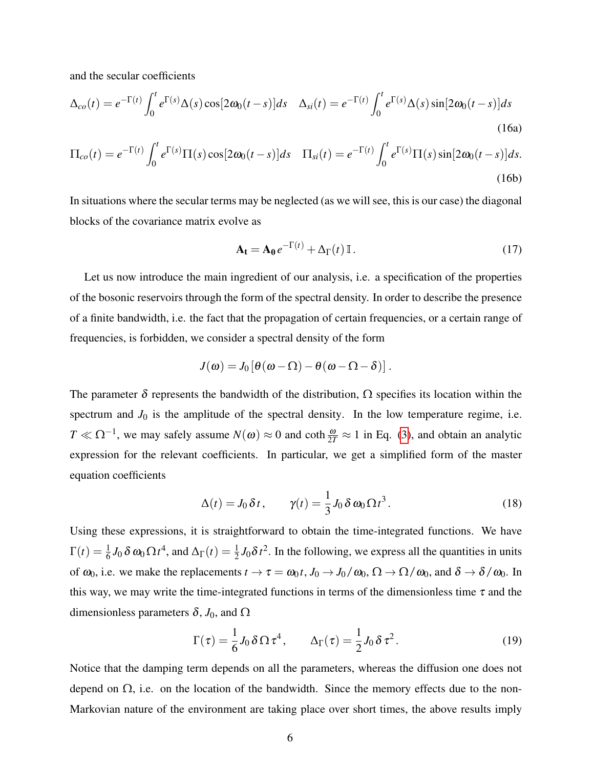and the secular coefficients

$$
\Delta_{co}(t) = e^{-\Gamma(t)} \int_0^t e^{\Gamma(s)} \Delta(s) \cos[2\omega_0(t-s)] ds \quad \Delta_{si}(t) = e^{-\Gamma(t)} \int_0^t e^{\Gamma(s)} \Delta(s) \sin[2\omega_0(t-s)] ds
$$
\n(16a)

$$
\Pi_{co}(t) = e^{-\Gamma(t)} \int_0^t e^{\Gamma(s)} \Pi(s) \cos[2\omega_0(t-s)] ds \quad \Pi_{si}(t) = e^{-\Gamma(t)} \int_0^t e^{\Gamma(s)} \Pi(s) \sin[2\omega_0(t-s)] ds.
$$
\n(16b)

In situations where the secular terms may be neglected (as we will see, this is our case) the diagonal blocks of the covariance matrix evolve as

<span id="page-5-0"></span>
$$
\mathbf{A_t} = \mathbf{A_0} e^{-\Gamma(t)} + \Delta_\Gamma(t) \mathbb{I} \,. \tag{17}
$$

Let us now introduce the main ingredient of our analysis, i.e. a specification of the properties of the bosonic reservoirs through the form of the spectral density. In order to describe the presence of a finite bandwidth, i.e. the fact that the propagation of certain frequencies, or a certain range of frequencies, is forbidden, we consider a spectral density of the form

$$
J(\pmb{\omega}) = J_0\left[\pmb{\theta}(\pmb{\omega} - \pmb{\Omega}) - \pmb{\theta}(\pmb{\omega} - \pmb{\Omega} - \pmb{\delta})\right].
$$

The parameter  $\delta$  represents the bandwidth of the distribution,  $\Omega$  specifies its location within the spectrum and  $J_0$  is the amplitude of the spectral density. In the low temperature regime, i.e. *T*  $\ll$  Ω<sup>-1</sup>, we may safely assume *N*(ω) ≈ 0 and coth  $\frac{\omega}{2T}$  ≈ 1 in Eq. [\(3\)](#page-3-0), and obtain an analytic expression for the relevant coefficients. In particular, we get a simplified form of the master equation coefficients

$$
\Delta(t) = J_0 \, \delta \, t, \qquad \gamma(t) = \frac{1}{3} J_0 \, \delta \, \omega_0 \, \Omega \, t^3. \tag{18}
$$

Using these expressions, it is straightforward to obtain the time-integrated functions. We have  $\Gamma(t) = \frac{1}{6} J_0 \delta \omega_0 \Omega t^4$ , and  $\Delta_{\Gamma}(t) = \frac{1}{2} J_0 \delta t^2$ . In the following, we express all the quantities in units of  $\omega_0$ , i.e. we make the replacements  $t \to \tau = \omega_0 t$ ,  $J_0 \to J_0/\omega_0$ ,  $\Omega \to \Omega/\omega_0$ , and  $\delta \to \delta/\omega_0$ . In this way, we may write the time-integrated functions in terms of the dimensionless time  $\tau$  and the dimensionless parameters  $\delta$ , *J*<sub>0</sub>, and  $\Omega$ 

$$
\Gamma(\tau) = \frac{1}{6} J_0 \, \delta \, \Omega \, \tau^4, \qquad \Delta_{\Gamma}(\tau) = \frac{1}{2} J_0 \, \delta \, \tau^2. \tag{19}
$$

Notice that the damping term depends on all the parameters, whereas the diffusion one does not depend on  $\Omega$ , i.e. on the location of the bandwidth. Since the memory effects due to the non-Markovian nature of the environment are taking place over short times, the above results imply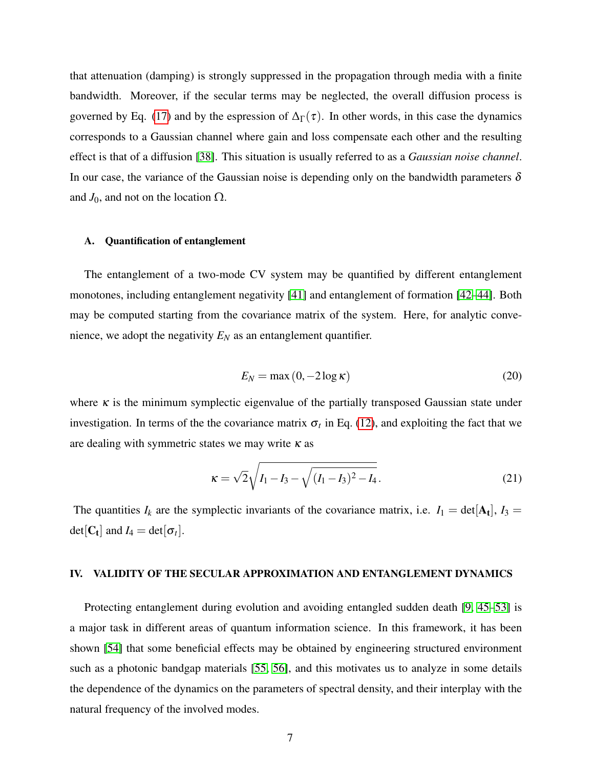that attenuation (damping) is strongly suppressed in the propagation through media with a finite bandwidth. Moreover, if the secular terms may be neglected, the overall diffusion process is governed by Eq. [\(17\)](#page-5-0) and by the espression of  $\Delta_{\Gamma}(\tau)$ . In other words, in this case the dynamics corresponds to a Gaussian channel where gain and loss compensate each other and the resulting effect is that of a diffusion [\[38\]](#page-12-7). This situation is usually referred to as a *Gaussian noise channel*. In our case, the variance of the Gaussian noise is depending only on the bandwidth parameters  $\delta$ and  $J_0$ , and not on the location  $\Omega$ .

## A. Quantification of entanglement

The entanglement of a two-mode CV system may be quantified by different entanglement monotones, including entanglement negativity [\[41\]](#page-12-9) and entanglement of formation [\[42](#page-12-10)[–44\]](#page-12-11). Both may be computed starting from the covariance matrix of the system. Here, for analytic convenience, we adopt the negativity  $E_N$  as an entanglement quantifier.

$$
E_N = \max(0, -2\log \kappa) \tag{20}
$$

<span id="page-6-1"></span>where  $\kappa$  is the minimum symplectic eigenvalue of the partially transposed Gaussian state under investigation. In terms of the the covariance matrix  $\sigma_t$  in Eq. [\(12\)](#page-4-5), and exploiting the fact that we are dealing with symmetric states we may write  $\kappa$  as

$$
\kappa = \sqrt{2} \sqrt{I_1 - I_3 - \sqrt{(I_1 - I_3)^2 - I_4}}.
$$
\n(21)

The quantities  $I_k$  are the symplectic invariants of the covariance matrix, i.e.  $I_1 = det[A_t], I_3 =$  $det[\mathbf{C}_t]$  and  $I_4 = det[\sigma_t]$ .

#### <span id="page-6-0"></span>IV. VALIDITY OF THE SECULAR APPROXIMATION AND ENTANGLEMENT DYNAMICS

Protecting entanglement during evolution and avoiding entangled sudden death [\[9,](#page-10-3) [45–](#page-12-12)[53\]](#page-13-0) is a major task in different areas of quantum information science. In this framework, it has been shown [\[54\]](#page-13-1) that some beneficial effects may be obtained by engineering structured environment such as a photonic bandgap materials [\[55,](#page-13-2) [56\]](#page-13-3), and this motivates us to analyze in some details the dependence of the dynamics on the parameters of spectral density, and their interplay with the natural frequency of the involved modes.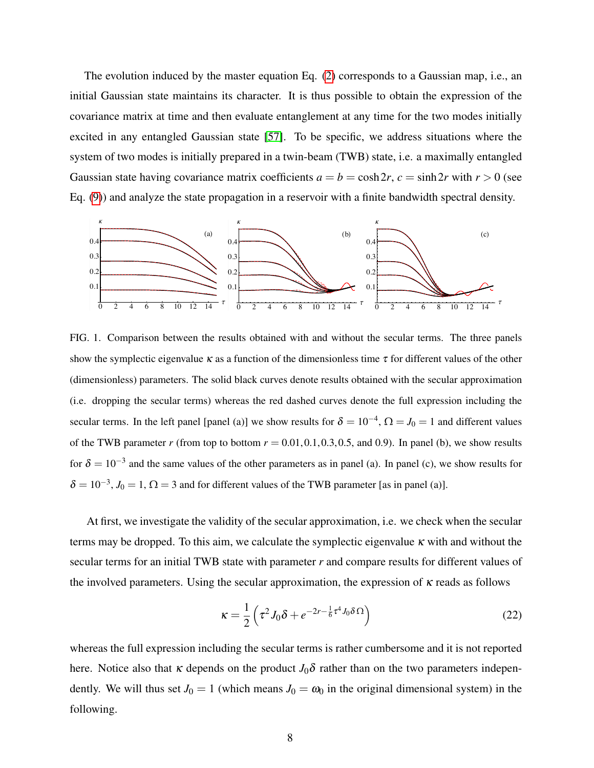The evolution induced by the master equation Eq. [\(2\)](#page-2-2) corresponds to a Gaussian map, i.e., an initial Gaussian state maintains its character. It is thus possible to obtain the expression of the covariance matrix at time and then evaluate entanglement at any time for the two modes initially excited in any entangled Gaussian state [\[57\]](#page-13-4). To be specific, we address situations where the system of two modes is initially prepared in a twin-beam (TWB) state, i.e. a maximally entangled Gaussian state having covariance matrix coefficients  $a = b = \cosh 2r$ ,  $c = \sinh 2r$  with  $r > 0$  (see Eq. [\(9\)](#page-4-6)) and analyze the state propagation in a reservoir with a finite bandwidth spectral density.



<span id="page-7-0"></span>FIG. 1. Comparison between the results obtained with and without the secular terms. The three panels show the symplectic eigenvalue  $\kappa$  as a function of the dimensionless time  $\tau$  for different values of the other (dimensionless) parameters. The solid black curves denote results obtained with the secular approximation (i.e. dropping the secular terms) whereas the red dashed curves denote the full expression including the secular terms. In the left panel [panel (a)] we show results for  $\delta = 10^{-4}$ ,  $\Omega = J_0 = 1$  and different values of the TWB parameter *r* (from top to bottom  $r = 0.01, 0.1, 0.3, 0.5$ , and 0.9). In panel (b), we show results for  $\delta = 10^{-3}$  and the same values of the other parameters as in panel (a). In panel (c), we show results for  $\delta = 10^{-3}$ ,  $J_0 = 1$ ,  $\Omega = 3$  and for different values of the TWB parameter [as in panel (a)].

At first, we investigate the validity of the secular approximation, i.e. we check when the secular terms may be dropped. To this aim, we calculate the symplectic eigenvalue  $\kappa$  with and without the secular terms for an initial TWB state with parameter *r* and compare results for different values of the involved parameters. Using the secular approximation, the expression of  $\kappa$  reads as follows

<span id="page-7-1"></span>
$$
\kappa = \frac{1}{2} \left( \tau^2 J_0 \delta + e^{-2r - \frac{1}{6} \tau^4 J_0 \delta \Omega} \right)
$$
 (22)

whereas the full expression including the secular terms is rather cumbersome and it is not reported here. Notice also that  $\kappa$  depends on the product  $J_0\delta$  rather than on the two parameters independently. We will thus set  $J_0 = 1$  (which means  $J_0 = \omega_0$  in the original dimensional system) in the following.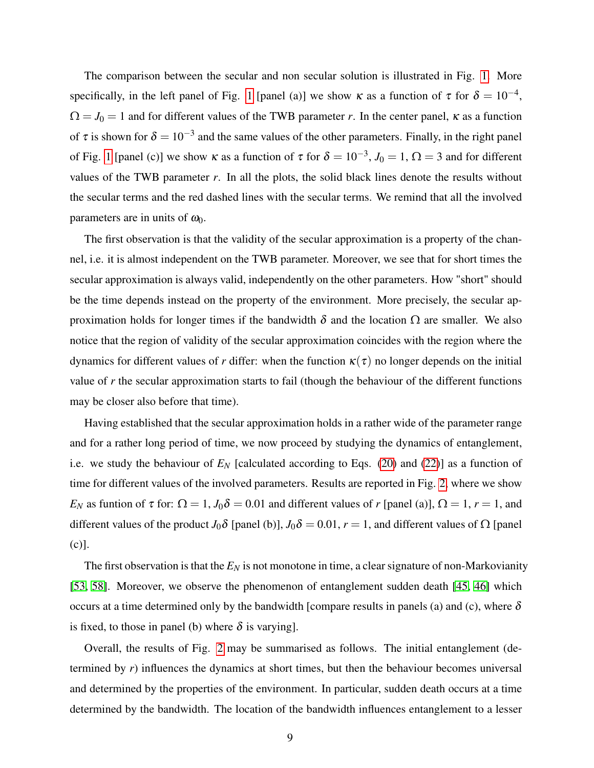The comparison between the secular and non secular solution is illustrated in Fig. [1.](#page-7-0) More specifically, in the left panel of Fig. [1](#page-7-0) [panel (a)] we show  $\kappa$  as a function of  $\tau$  for  $\delta = 10^{-4}$ ,  $\Omega = J_0 = 1$  and for different values of the TWB parameter *r*. In the center panel,  $\kappa$  as a function of  $\tau$  is shown for  $\delta = 10^{-3}$  and the same values of the other parameters. Finally, in the right panel of Fig. [1](#page-7-0) [panel (c)] we show  $\kappa$  as a function of  $\tau$  for  $\delta = 10^{-3}$ ,  $J_0 = 1$ ,  $\Omega = 3$  and for different values of the TWB parameter *r*. In all the plots, the solid black lines denote the results without the secular terms and the red dashed lines with the secular terms. We remind that all the involved parameters are in units of  $\omega_0$ .

The first observation is that the validity of the secular approximation is a property of the channel, i.e. it is almost independent on the TWB parameter. Moreover, we see that for short times the secular approximation is always valid, independently on the other parameters. How "short" should be the time depends instead on the property of the environment. More precisely, the secular approximation holds for longer times if the bandwidth  $\delta$  and the location  $\Omega$  are smaller. We also notice that the region of validity of the secular approximation coincides with the region where the dynamics for different values of *r* differ: when the function  $\kappa(\tau)$  no longer depends on the initial value of *r* the secular approximation starts to fail (though the behaviour of the different functions may be closer also before that time).

Having established that the secular approximation holds in a rather wide of the parameter range and for a rather long period of time, we now proceed by studying the dynamics of entanglement, i.e. we study the behaviour of  $E_N$  [calculated according to Eqs. [\(20\)](#page-6-1) and [\(22\)](#page-7-1)] as a function of time for different values of the involved parameters. Results are reported in Fig. [2,](#page-9-1) where we show *E<sub>N</sub>* as funtion of  $\tau$  for:  $\Omega = 1$ ,  $J_0 \delta = 0.01$  and different values of *r* [panel (a)],  $\Omega = 1$ ,  $r = 1$ , and different values of the product *J*<sub>0</sub> $\delta$  [panel (b)], *J*<sub>0</sub> $\delta$  = 0.01, *r* = 1, and different values of  $\Omega$  [panel (c)].

The first observation is that the  $E_N$  is not monotone in time, a clear signature of non-Markovianity [\[53,](#page-13-0) [58\]](#page-13-5). Moreover, we observe the phenomenon of entanglement sudden death [\[45,](#page-12-12) [46\]](#page-13-6) which occurs at a time determined only by the bandwidth [compare results in panels (a) and (c), where  $\delta$ is fixed, to those in panel (b) where  $\delta$  is varying].

Overall, the results of Fig. [2](#page-9-1) may be summarised as follows. The initial entanglement (determined by *r*) influences the dynamics at short times, but then the behaviour becomes universal and determined by the properties of the environment. In particular, sudden death occurs at a time determined by the bandwidth. The location of the bandwidth influences entanglement to a lesser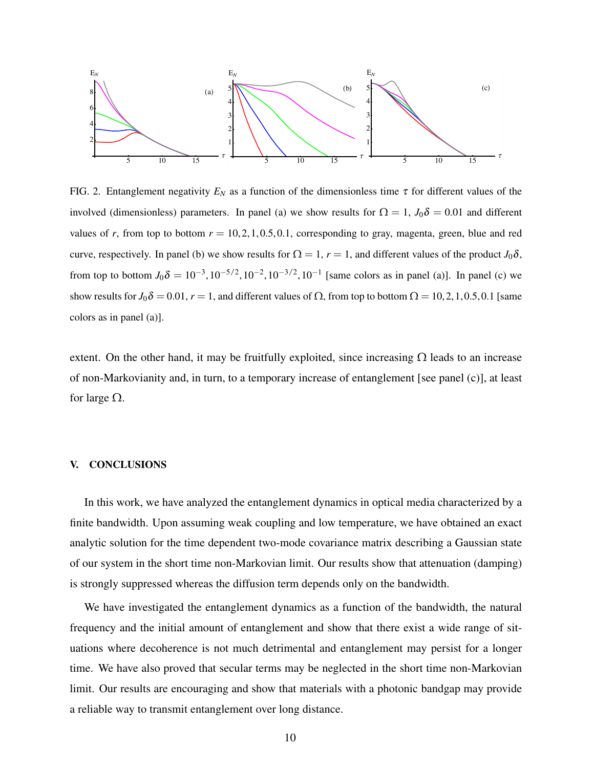

<span id="page-9-1"></span>FIG. 2. Entanglement negativity  $E_N$  as a function of the dimensionless time  $\tau$  for different values of the involved (dimensionless) parameters. In panel (a) we show results for  $\Omega = 1$ ,  $J_0 \delta = 0.01$  and different values of *r*, from top to bottom  $r = 10, 2, 1, 0.5, 0.1$ , corresponding to gray, magenta, green, blue and red curve, respectively. In panel (b) we show results for  $\Omega = 1$ ,  $r = 1$ , and different values of the product  $J_0 \delta$ , from top to bottom  $J_0 \delta = 10^{-3}$ ,  $10^{-5/2}$ ,  $10^{-2}$ ,  $10^{-3/2}$ ,  $10^{-1}$  [same colors as in panel (a)]. In panel (c) we show results for  $J_0 \delta = 0.01$ ,  $r = 1$ , and different values of  $\Omega$ , from top to bottom  $\Omega = 10, 2, 1, 0.5, 0.1$  [same colors as in panel (a)].

extent. On the other hand, it may be fruitfully exploited, since increasing  $\Omega$  leads to an increase of non-Markovianity and, in turn, to a temporary increase of entanglement [see panel (c)], at least for large  $\Omega$ .

## <span id="page-9-0"></span>V. CONCLUSIONS

In this work, we have analyzed the entanglement dynamics in optical media characterized by a finite bandwidth. Upon assuming weak coupling and low temperature, we have obtained an exact analytic solution for the time dependent two-mode covariance matrix describing a Gaussian state of our system in the short time non-Markovian limit. Our results show that attenuation (damping) is strongly suppressed whereas the diffusion term depends only on the bandwidth.

We have investigated the entanglement dynamics as a function of the bandwidth, the natural frequency and the initial amount of entanglement and show that there exist a wide range of situations where decoherence is not much detrimental and entanglement may persist for a longer time. We have also proved that secular terms may be neglected in the short time non-Markovian limit. Our results are encouraging and show that materials with a photonic bandgap may provide a reliable way to transmit entanglement over long distance.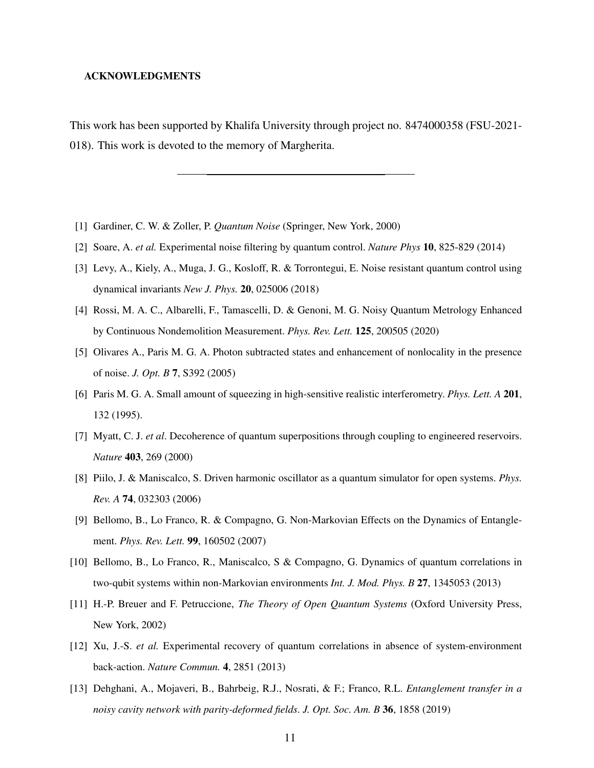### ACKNOWLEDGMENTS

This work has been supported by Khalifa University through project no. 8474000358 (FSU-2021- 018). This work is devoted to the memory of Margherita.

- <span id="page-10-0"></span>[1] Gardiner, C. W. & Zoller, P. *Quantum Noise* (Springer, New York, 2000)
- [2] Soare, A. *et al.* Experimental noise filtering by quantum control. *Nature Phys* 10, 825-829 (2014)
- [3] Levy, A., Kiely, A., Muga, J. G., Kosloff, R. & Torrontegui, E. Noise resistant quantum control using dynamical invariants *New J. Phys.* 20, 025006 (2018)
- [4] Rossi, M. A. C., Albarelli, F., Tamascelli, D. & Genoni, M. G. Noisy Quantum Metrology Enhanced by Continuous Nondemolition Measurement. *Phys. Rev. Lett.* 125, 200505 (2020)
- [5] Olivares A., Paris M. G. A. Photon subtracted states and enhancement of nonlocality in the presence of noise. *J. Opt. B* 7, S392 (2005)
- [6] Paris M. G. A. Small amount of squeezing in high-sensitive realistic interferometry. *Phys. Lett. A* 201, 132 (1995).
- [7] Myatt, C. J. *et al*. Decoherence of quantum superpositions through coupling to engineered reservoirs. *Nature* 403, 269 (2000)
- [8] Piilo, J. & Maniscalco, S. Driven harmonic oscillator as a quantum simulator for open systems. *Phys. Rev. A* 74, 032303 (2006)
- <span id="page-10-3"></span>[9] Bellomo, B., Lo Franco, R. & Compagno, G. Non-Markovian Effects on the Dynamics of Entanglement. *Phys. Rev. Lett.* 99, 160502 (2007)
- <span id="page-10-1"></span>[10] Bellomo, B., Lo Franco, R., Maniscalco, S & Compagno, G. Dynamics of quantum correlations in two-qubit systems within non-Markovian environments *Int. J. Mod. Phys. B* 27, 1345053 (2013)
- <span id="page-10-2"></span>[11] H.-P. Breuer and F. Petruccione, *The Theory of Open Quantum Systems* (Oxford University Press, New York, 2002)
- [12] Xu, J.-S. *et al.* Experimental recovery of quantum correlations in absence of system-environment back-action. *Nature Commun.* 4, 2851 (2013)
- [13] Dehghani, A., Mojaveri, B., Bahrbeig, R.J., Nosrati, & F.; Franco, R.L. *Entanglement transfer in a noisy cavity network with parity-deformed fields*. *J. Opt. Soc. Am. B* 36, 1858 (2019)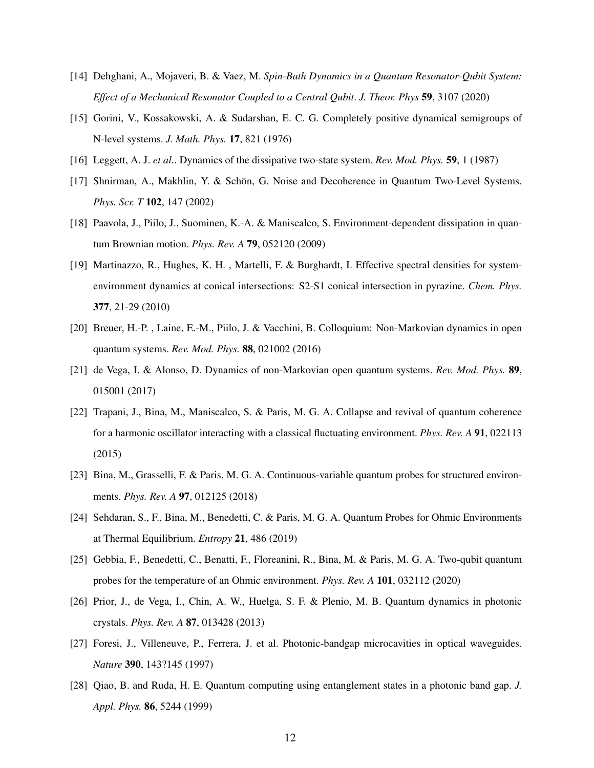- <span id="page-11-0"></span>[14] Dehghani, A., Mojaveri, B. & Vaez, M. *Spin-Bath Dynamics in a Quantum Resonator-Qubit System: Effect of a Mechanical Resonator Coupled to a Central Qubit*. *J. Theor. Phys* 59, 3107 (2020)
- <span id="page-11-1"></span>[15] Gorini, V., Kossakowski, A. & Sudarshan, E. C. G. Completely positive dynamical semigroups of N-level systems. *J. Math. Phys.* 17, 821 (1976)
- <span id="page-11-2"></span>[16] Leggett, A. J. *et al.*. Dynamics of the dissipative two-state system. *Rev. Mod. Phys.* 59, 1 (1987)
- [17] Shnirman, A., Makhlin, Y. & Schön, G. Noise and Decoherence in Quantum Two-Level Systems. *Phys. Scr. T* 102, 147 (2002)
- [18] Paavola, J., Piilo, J., Suominen, K.-A. & Maniscalco, S. Environment-dependent dissipation in quantum Brownian motion. *Phys. Rev. A* 79, 052120 (2009)
- <span id="page-11-3"></span>[19] Martinazzo, R., Hughes, K. H. , Martelli, F. & Burghardt, I. Effective spectral densities for systemenvironment dynamics at conical intersections: S2-S1 conical intersection in pyrazine. *Chem. Phys.* 377, 21-29 (2010)
- <span id="page-11-4"></span>[20] Breuer, H.-P. , Laine, E.-M., Piilo, J. & Vacchini, B. Colloquium: Non-Markovian dynamics in open quantum systems. *Rev. Mod. Phys.* 88, 021002 (2016)
- [21] de Vega, I. & Alonso, D. Dynamics of non-Markovian open quantum systems. *Rev. Mod. Phys.* 89, 015001 (2017)
- <span id="page-11-5"></span>[22] Trapani, J., Bina, M., Maniscalco, S. & Paris, M. G. A. Collapse and revival of quantum coherence for a harmonic oscillator interacting with a classical fluctuating environment. *Phys. Rev. A* 91, 022113 (2015)
- <span id="page-11-6"></span>[23] Bina, M., Grasselli, F. & Paris, M. G. A. Continuous-variable quantum probes for structured environments. *Phys. Rev. A* 97, 012125 (2018)
- [24] Sehdaran, S., F., Bina, M., Benedetti, C. & Paris, M. G. A. Quantum Probes for Ohmic Environments at Thermal Equilibrium. *Entropy* 21, 486 (2019)
- <span id="page-11-7"></span>[25] Gebbia, F., Benedetti, C., Benatti, F., Floreanini, R., Bina, M. & Paris, M. G. A. Two-qubit quantum probes for the temperature of an Ohmic environment. *Phys. Rev. A* 101, 032112 (2020)
- <span id="page-11-8"></span>[26] Prior, J., de Vega, I., Chin, A. W., Huelga, S. F. & Plenio, M. B. Quantum dynamics in photonic crystals. *Phys. Rev. A* 87, 013428 (2013)
- [27] Foresi, J., Villeneuve, P., Ferrera, J. et al. Photonic-bandgap microcavities in optical waveguides. *Nature* 390, 143?145 (1997)
- [28] Qiao, B. and Ruda, H. E. Quantum computing using entanglement states in a photonic band gap. *J. Appl. Phys.* 86, 5244 (1999)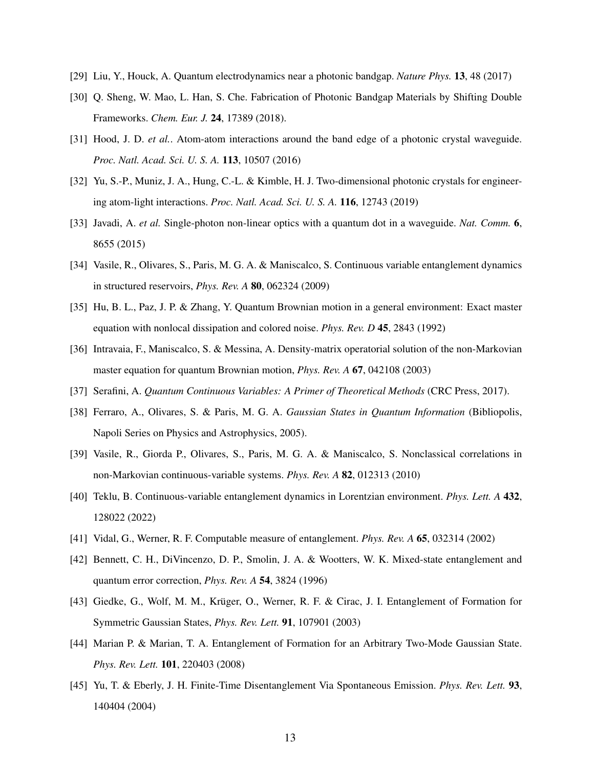- <span id="page-12-0"></span>[29] Liu, Y., Houck, A. Quantum electrodynamics near a photonic bandgap. *Nature Phys.* 13, 48 (2017)
- [30] Q. Sheng, W. Mao, L. Han, S. Che. Fabrication of Photonic Bandgap Materials by Shifting Double Frameworks. *Chem. Eur. J.* 24, 17389 (2018).
- <span id="page-12-1"></span>[31] Hood, J. D. *et al.*. Atom-atom interactions around the band edge of a photonic crystal waveguide. *Proc. Natl. Acad. Sci. U. S. A.* 113, 10507 (2016)
- [32] Yu, S.-P., Muniz, J. A., Hung, C.-L. & Kimble, H. J. Two-dimensional photonic crystals for engineering atom-light interactions. *Proc. Natl. Acad. Sci. U. S. A.* 116, 12743 (2019)
- <span id="page-12-2"></span>[33] Javadi, A. *et al.* Single-photon non-linear optics with a quantum dot in a waveguide. *Nat. Comm.* 6, 8655 (2015)
- <span id="page-12-3"></span>[34] Vasile, R., Olivares, S., Paris, M. G. A. & Maniscalco, S. Continuous variable entanglement dynamics in structured reservoirs, *Phys. Rev. A* 80, 062324 (2009)
- <span id="page-12-4"></span>[35] Hu, B. L., Paz, J. P. & Zhang, Y. Quantum Brownian motion in a general environment: Exact master equation with nonlocal dissipation and colored noise. *Phys. Rev. D* 45, 2843 (1992)
- <span id="page-12-5"></span>[36] Intravaia, F., Maniscalco, S. & Messina, A. Density-matrix operatorial solution of the non-Markovian master equation for quantum Brownian motion, *Phys. Rev. A* 67, 042108 (2003)
- <span id="page-12-7"></span><span id="page-12-6"></span>[37] Serafini, A. *Quantum Continuous Variables: A Primer of Theoretical Methods* (CRC Press, 2017).
- [38] Ferraro, A., Olivares, S. & Paris, M. G. A. *Gaussian States in Quantum Information* (Bibliopolis, Napoli Series on Physics and Astrophysics, 2005).
- [39] Vasile, R., Giorda P., Olivares, S., Paris, M. G. A. & Maniscalco, S. Nonclassical correlations in non-Markovian continuous-variable systems. *Phys. Rev. A* 82, 012313 (2010)
- <span id="page-12-8"></span>[40] Teklu, B. Continuous-variable entanglement dynamics in Lorentzian environment. *Phys. Lett. A* 432, 128022 (2022)
- <span id="page-12-10"></span><span id="page-12-9"></span>[41] Vidal, G., Werner, R. F. Computable measure of entanglement. *Phys. Rev. A* 65, 032314 (2002)
- [42] Bennett, C. H., DiVincenzo, D. P., Smolin, J. A. & Wootters, W. K. Mixed-state entanglement and quantum error correction, *Phys. Rev. A* 54, 3824 (1996)
- [43] Giedke, G., Wolf, M. M., Krüger, O., Werner, R. F. & Cirac, J. I. Entanglement of Formation for Symmetric Gaussian States, *Phys. Rev. Lett.* 91, 107901 (2003)
- <span id="page-12-11"></span>[44] Marian P. & Marian, T. A. Entanglement of Formation for an Arbitrary Two-Mode Gaussian State. *Phys. Rev. Lett.* 101, 220403 (2008)
- <span id="page-12-12"></span>[45] Yu, T. & Eberly, J. H. Finite-Time Disentanglement Via Spontaneous Emission. *Phys. Rev. Lett.* 93, 140404 (2004)